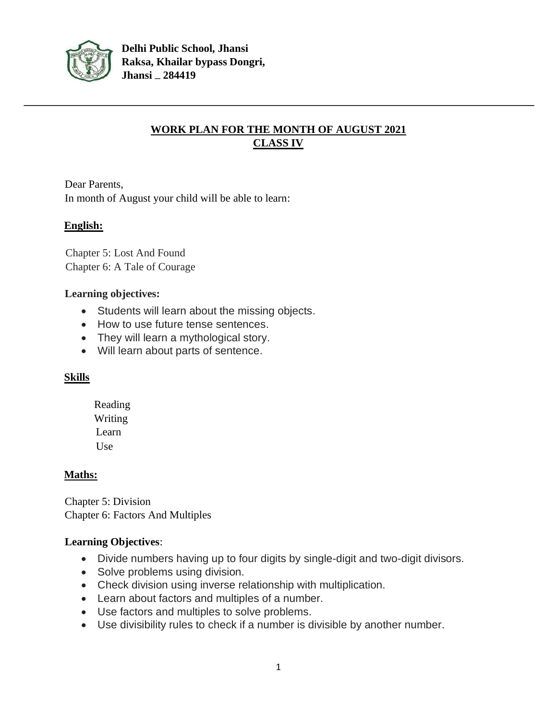

## **WORK PLAN FOR THE MONTH OF AUGUST 2021 CLASS IV**

Dear Parents, In month of August your child will be able to learn:

## **English:**

Chapter 5: Lost And Found Chapter 6: A Tale of Courage

## **Learning objectives:**

- Students will learn about the missing objects.
- How to use future tense sentences.
- They will learn a mythological story.
- Will learn about parts of sentence.

## **Skills**

Reading Writing Learn Use

## **Maths:**

Chapter 5: Division Chapter 6: Factors And Multiples

## **Learning Objectives**:

- Divide numbers having up to four digits by single-digit and two-digit divisors.
- Solve problems using division.
- Check division using inverse relationship with multiplication.
- Learn about factors and multiples of a number.
- Use factors and multiples to solve problems.
- Use divisibility rules to check if a number is divisible by another number.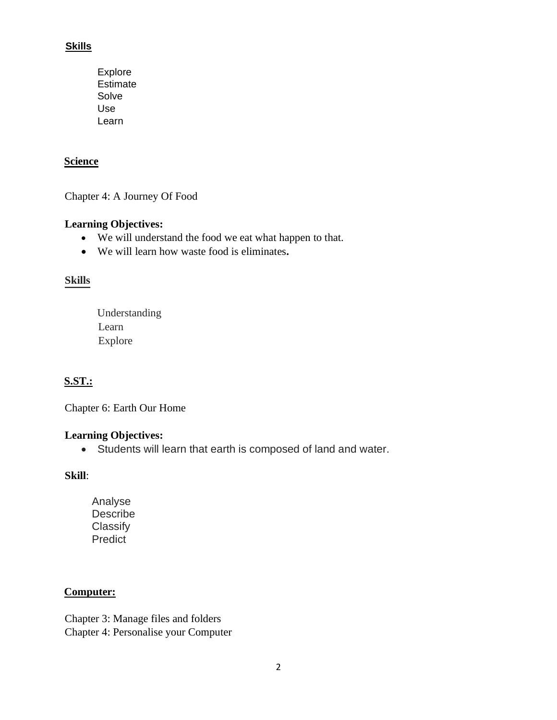## **Skills**

Explore Estimate Solve Use Learn

## **Science**

Chapter 4: A Journey Of Food

## **Learning Objectives:**

- We will understand the food we eat what happen to that.
- We will learn how waste food is eliminates**.**

## **Skills**

 Understanding Learn Explore

## **S.ST.:**

Chapter 6: Earth Our Home

#### **Learning Objectives:**

• Students will learn that earth is composed of land and water.

#### **Skill**:

 Analyse Describe **Classify** Predict

## **Computer:**

Chapter 3: Manage files and folders Chapter 4: Personalise your Computer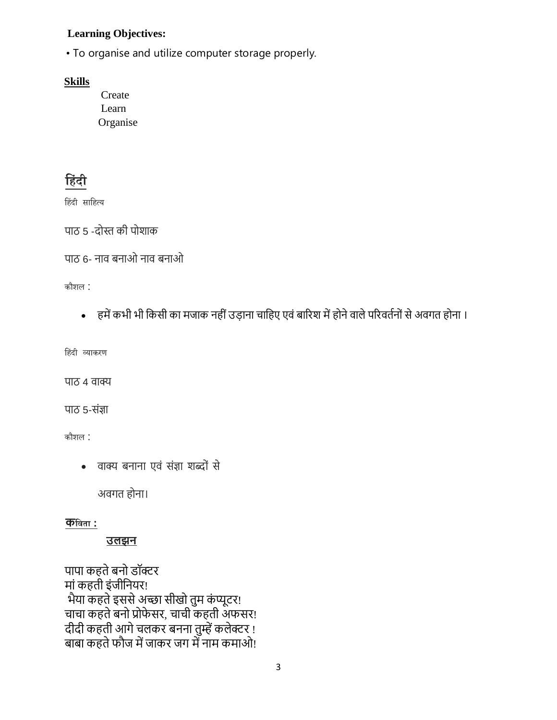## **Learning Objectives:**

• To organise and utilize computer storage properly.

#### **Skills**

Create Learn Organise

## **ह िंदी**

हिंदी साहित्य

पाठ 5 -दोस्त की पोशाक

```
पाठ 6- नाव बनाओ नाव बनाओ
```
कौशल :

• हमें कभी भी किसी का मजाक नहीं उडाना चाहिए एवं बारिश में होने वाले परिवर्तनों से अवगत होना ।

हिंदी व्याकरण

पाठ 4 वाक्य

पाठ 5-संज्ञा

कौशल :

• वाक्य बनाना एवं संज्ञा शब्दों से

अवगर् होना।

## **कहिता :**

## **उलझन**

पापा कहते बनो डॉक्टर मां कहती इंजीनियर! भैया कहते इससे अच्छा सीखो तुम कंप्यूटर! चाचा कहते बनो प्रोफेसर, चाची कहती अफसर! दीदी कहती आगे चलकर बनना तुम्हें कलेक्टर ! बाबा कहते फौज में जाकर जग में नाम कमाओ!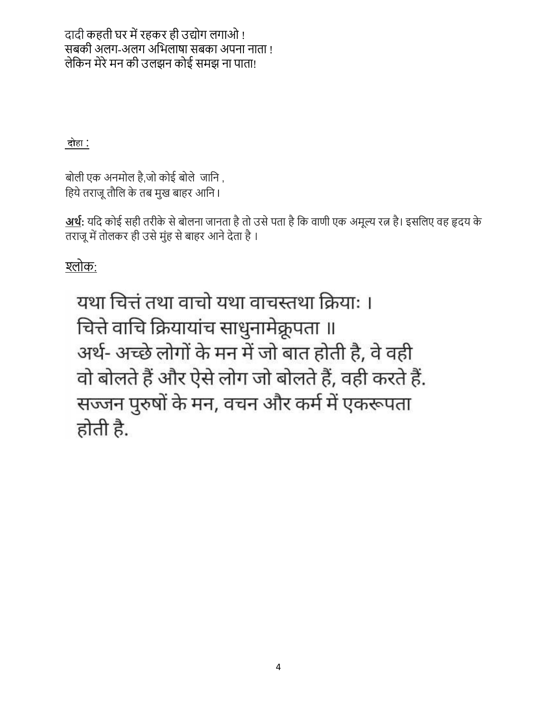दादी कहती घर में रहकर ही उद्योग लगाओ ! सबकी अलग-अलग अभिलाषा सबका अपना नाता ! लेकिन मेरे मन की उलझन कोई समझ ना पाता!

**दो**हा :

बोली एक अनमोल है,जो कोई बोले जानि , हिये तराजू तौलि के तब मुख बाहर आनि ।

<u>अर्थ</u>: यदि कोई सही तरीके से बोलना जानता है तो उसे पता है कि वाणी एक अमूल्य रत्न है। इसलिए वह हृदय के तराजू में तोलकर ही उसे मुंह से बाहर आने देता है।

श्लोक:

यथा चित्तं तथा वाचो यथा वाचस्तथा क्रिया: । चित्ते वाचि क्रियायांच साधुनामेक्रूपता ॥ अर्थ- अच्छे लोगों के मन में जो बात होती है, वे वही वो बोलते हैं और ऐसे लोग जो बोलते हैं, वही करते हैं. सज्जन पुरुषों के मन, वचन और कर्म में एकरूपता होती है.